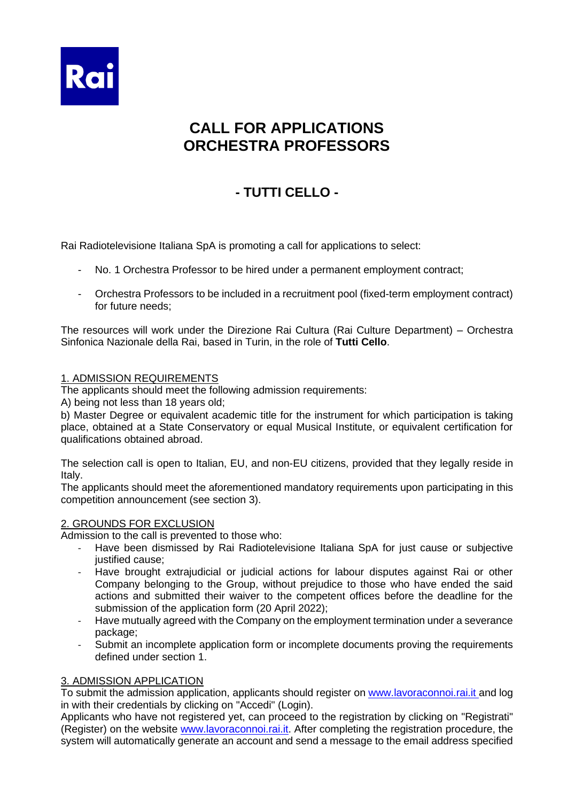

# **CALL FOR APPLICATIONS ORCHESTRA PROFESSORS**

# **- TUTTI CELLO -**

Rai Radiotelevisione Italiana SpA is promoting a call for applications to select:

- No. 1 Orchestra Professor to be hired under a permanent employment contract;
- Orchestra Professors to be included in a recruitment pool (fixed-term employment contract) for future needs;

The resources will work under the Direzione Rai Cultura (Rai Culture Department) – Orchestra Sinfonica Nazionale della Rai, based in Turin, in the role of **Tutti Cello**.

#### 1. ADMISSION REQUIREMENTS

The applicants should meet the following admission requirements:

A) being not less than 18 years old;

b) Master Degree or equivalent academic title for the instrument for which participation is taking place, obtained at a State Conservatory or equal Musical Institute, or equivalent certification for qualifications obtained abroad.

The selection call is open to Italian, EU, and non-EU citizens, provided that they legally reside in Italy.

The applicants should meet the aforementioned mandatory requirements upon participating in this competition announcement (see section 3).

#### 2. GROUNDS FOR EXCLUSION

Admission to the call is prevented to those who:

- Have been dismissed by Rai Radiotelevisione Italiana SpA for just cause or subjective justified cause:
- Have brought extrajudicial or judicial actions for labour disputes against Rai or other Company belonging to the Group, without prejudice to those who have ended the said actions and submitted their waiver to the competent offices before the deadline for the submission of the application form (20 April 2022);
- Have mutually agreed with the Company on the employment termination under a severance package;
- Submit an incomplete application form or incomplete documents proving the requirements defined under section 1.

#### 3. ADMISSION APPLICATION

To submit the admission application, applicants should register o[n www.lavoraconnoi.rai.it](http://www.lavoraconnoi.rai.it/) and log in with their credentials by clicking on "Accedi" (Login).

Applicants who have not registered yet, can proceed to the registration by clicking on "Registrati" (Register) on the website [www.lavoraconnoi.rai.it.](http://www.lavoraconnoi.rai.it/) After completing the registration procedure, the system will automatically generate an account and send a message to the email address specified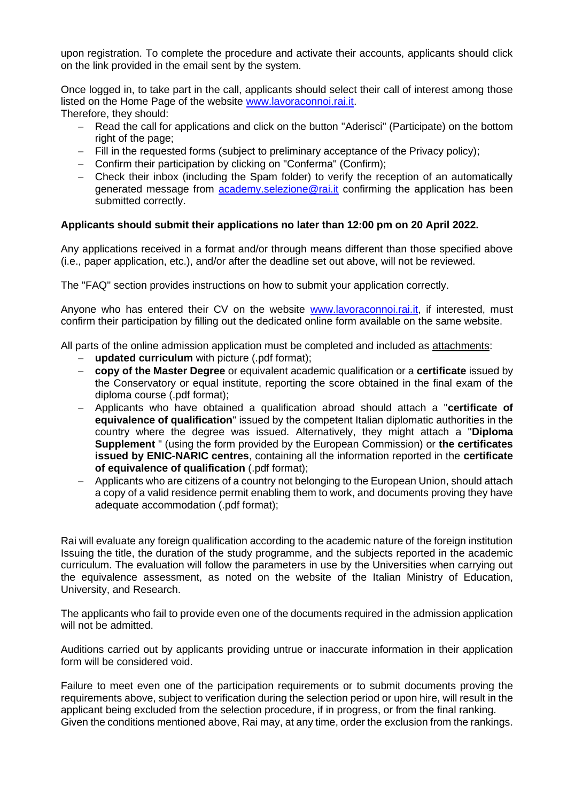upon registration. To complete the procedure and activate their accounts, applicants should click on the link provided in the email sent by the system.

Once logged in, to take part in the call, applicants should select their call of interest among those listed on the Home Page of the website [www.lavoraconnoi.rai.it.](http://www.lavoraconnoi.rai.it/) Therefore, they should:

- Read the call for applications and click on the button "Aderisci" (Participate) on the bottom right of the page;
- − Fill in the requested forms (subject to preliminary acceptance of the Privacy policy);
- − Confirm their participation by clicking on "Conferma" (Confirm);
- − Check their inbox (including the Spam folder) to verify the reception of an automatically generated message from [academy.selezione@rai.it](mailto:academy.selezione@rai.it) confirming the application has been submitted correctly.

#### **Applicants should submit their applications no later than 12:00 pm on 20 April 2022.**

Any applications received in a format and/or through means different than those specified above (i.e., paper application, etc.), and/or after the deadline set out above, will not be reviewed.

The "FAQ" section provides instructions on how to submit your application correctly.

Anyone who has entered their CV on the website [www.lavoraconnoi.rai.it,](http://www.lavoraconnoi.rai.it/) if interested, must confirm their participation by filling out the dedicated online form available on the same website.

All parts of the online admission application must be completed and included as attachments:

- − **updated curriculum** with picture (.pdf format);
- − **copy of the Master Degree** or equivalent academic qualification or a **certificate** issued by the Conservatory or equal institute, reporting the score obtained in the final exam of the diploma course (.pdf format);
- − Applicants who have obtained a qualification abroad should attach a "**certificate of equivalence of qualification**" issued by the competent Italian diplomatic authorities in the country where the degree was issued. Alternatively, they might attach a "**Diploma Supplement** " (using the form provided by the European Commission) or **the certificates issued by ENIC-NARIC centres**, containing all the information reported in the **certificate of equivalence of qualification** (.pdf format);
- − Applicants who are citizens of a country not belonging to the European Union, should attach a copy of a valid residence permit enabling them to work, and documents proving they have adequate accommodation (.pdf format);

Rai will evaluate any foreign qualification according to the academic nature of the foreign institution Issuing the title, the duration of the study programme, and the subjects reported in the academic curriculum. The evaluation will follow the parameters in use by the Universities when carrying out the equivalence assessment, as noted on the website of the Italian Ministry of Education, University, and Research.

The applicants who fail to provide even one of the documents required in the admission application will not be admitted.

Auditions carried out by applicants providing untrue or inaccurate information in their application form will be considered void.

Failure to meet even one of the participation requirements or to submit documents proving the requirements above, subject to verification during the selection period or upon hire, will result in the applicant being excluded from the selection procedure, if in progress, or from the final ranking. Given the conditions mentioned above, Rai may, at any time, order the exclusion from the rankings.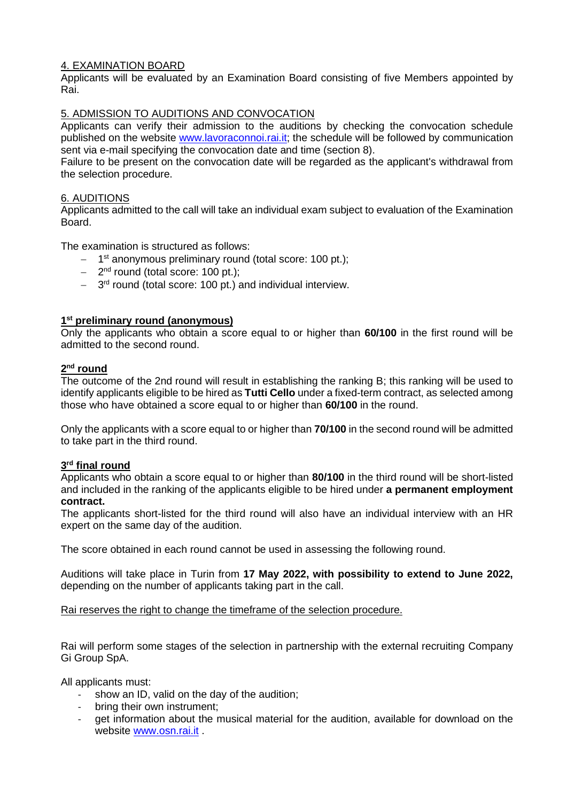### 4. EXAMINATION BOARD

Applicants will be evaluated by an Examination Board consisting of five Members appointed by Rai.

### 5. ADMISSION TO AUDITIONS AND CONVOCATION

Applicants can verify their admission to the auditions by checking the convocation schedule published on the website [www.lavoraconnoi.rai.it;](http://www.lavoraconnoi.rai.it/) the schedule will be followed by communication sent via e-mail specifying the convocation date and time (section 8).

Failure to be present on the convocation date will be regarded as the applicant's withdrawal from the selection procedure.

#### 6. AUDITIONS

Applicants admitted to the call will take an individual exam subject to evaluation of the Examination Board.

The examination is structured as follows:

- − 1<sup>st</sup> anonymous preliminary round (total score: 100 pt.);
- − 2 nd round (total score: 100 pt.);
- − 3 rd round (total score: 100 pt.) and individual interview.

#### **1 st preliminary round (anonymous)**

Only the applicants who obtain a score equal to or higher than **60/100** in the first round will be admitted to the second round.

#### **2 nd round**

The outcome of the 2nd round will result in establishing the ranking B; this ranking will be used to identify applicants eligible to be hired as **Tutti Cello** under a fixed-term contract, as selected among those who have obtained a score equal to or higher than **60/100** in the round.

Only the applicants with a score equal to or higher than **70/100** in the second round will be admitted to take part in the third round.

#### **3 rd final round**

Applicants who obtain a score equal to or higher than **80/100** in the third round will be short-listed and included in the ranking of the applicants eligible to be hired under **a permanent employment contract.**

The applicants short-listed for the third round will also have an individual interview with an HR expert on the same day of the audition.

The score obtained in each round cannot be used in assessing the following round.

Auditions will take place in Turin from **17 May 2022, with possibility to extend to June 2022,**  depending on the number of applicants taking part in the call.

Rai reserves the right to change the timeframe of the selection procedure.

Rai will perform some stages of the selection in partnership with the external recruiting Company Gi Group SpA.

All applicants must:

- show an ID, valid on the day of the audition;
- bring their own instrument;
- get information about the musical material for the audition, available for download on the website [www.osn.rai.it](http://www.osn.rai.it/) .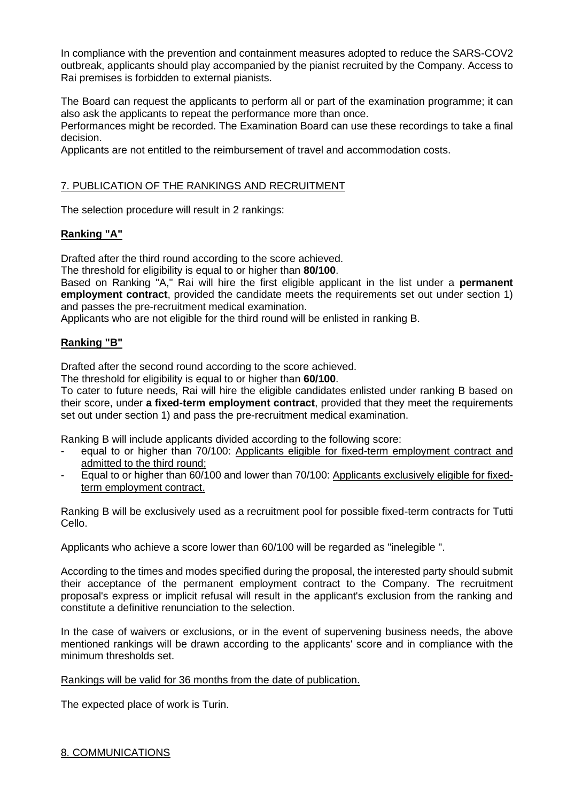In compliance with the prevention and containment measures adopted to reduce the SARS-COV2 outbreak, applicants should play accompanied by the pianist recruited by the Company. Access to Rai premises is forbidden to external pianists.

The Board can request the applicants to perform all or part of the examination programme; it can also ask the applicants to repeat the performance more than once.

Performances might be recorded. The Examination Board can use these recordings to take a final decision.

Applicants are not entitled to the reimbursement of travel and accommodation costs.

# 7. PUBLICATION OF THE RANKINGS AND RECRUITMENT

The selection procedure will result in 2 rankings:

# **Ranking "A"**

Drafted after the third round according to the score achieved.

The threshold for eligibility is equal to or higher than **80/100**.

Based on Ranking "A," Rai will hire the first eligible applicant in the list under a **permanent employment contract**, provided the candidate meets the requirements set out under section 1) and passes the pre-recruitment medical examination.

Applicants who are not eligible for the third round will be enlisted in ranking B.

### **Ranking "B"**

Drafted after the second round according to the score achieved.

The threshold for eligibility is equal to or higher than **60/100**.

To cater to future needs, Rai will hire the eligible candidates enlisted under ranking B based on their score, under **a fixed-term employment contract**, provided that they meet the requirements set out under section 1) and pass the pre-recruitment medical examination.

Ranking B will include applicants divided according to the following score:

- equal to or higher than 70/100: Applicants eligible for fixed-term employment contract and admitted to the third round;
- Equal to or higher than 60/100 and lower than 70/100: Applicants exclusively eligible for fixedterm employment contract.

Ranking B will be exclusively used as a recruitment pool for possible fixed-term contracts for Tutti Cello.

Applicants who achieve a score lower than 60/100 will be regarded as "inelegible ".

According to the times and modes specified during the proposal, the interested party should submit their acceptance of the permanent employment contract to the Company. The recruitment proposal's express or implicit refusal will result in the applicant's exclusion from the ranking and constitute a definitive renunciation to the selection.

In the case of waivers or exclusions, or in the event of supervening business needs, the above mentioned rankings will be drawn according to the applicants' score and in compliance with the minimum thresholds set.

#### Rankings will be valid for 36 months from the date of publication.

The expected place of work is Turin.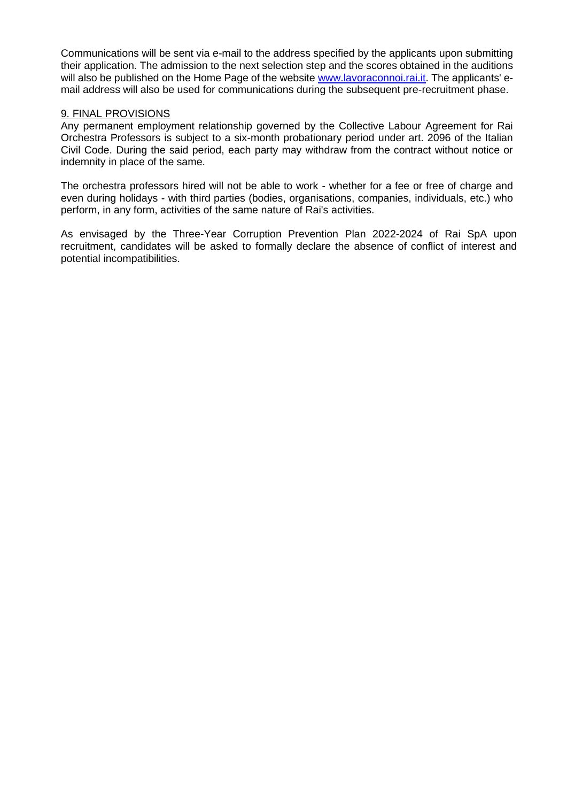Communications will be sent via e-mail to the address specified by the applicants upon submitting their application. The admission to the next selection step and the scores obtained in the auditions will also be published on the Home Page of the websit[e www.lavoraconnoi.rai.it.](http://www.lavoraconnoi.rai.it/) The applicants' email address will also be used for communications during the subsequent pre-recruitment phase.

#### 9. FINAL PROVISIONS

Any permanent employment relationship governed by the Collective Labour Agreement for Rai Orchestra Professors is subject to a six-month probationary period under art. 2096 of the Italian Civil Code. During the said period, each party may withdraw from the contract without notice or indemnity in place of the same.

The orchestra professors hired will not be able to work - whether for a fee or free of charge and even during holidays - with third parties (bodies, organisations, companies, individuals, etc.) who perform, in any form, activities of the same nature of Rai's activities.

As envisaged by the Three-Year Corruption Prevention Plan 2022-2024 of Rai SpA upon recruitment, candidates will be asked to formally declare the absence of conflict of interest and potential incompatibilities.